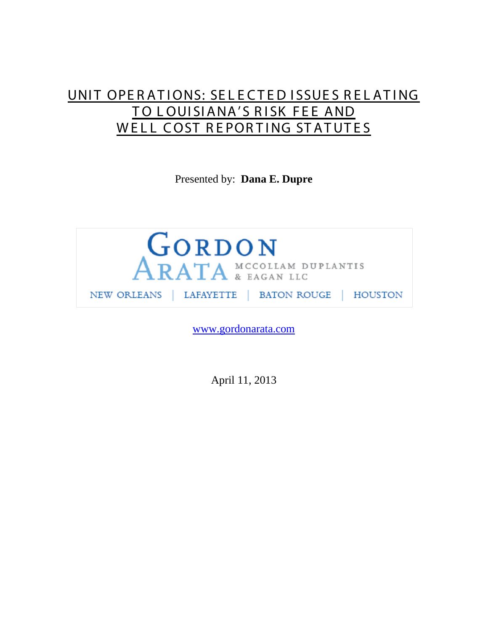# UNIT OPERATIONS: SELECTED ISSUES RELATING TO LOUISIANA'S RISK FEE AND WELL COST REPORTING STATUTES

Presented by: **Dana E. Dupre**



[www.gordonarata.com](http://www.gordonarata.com/)

April 11, 2013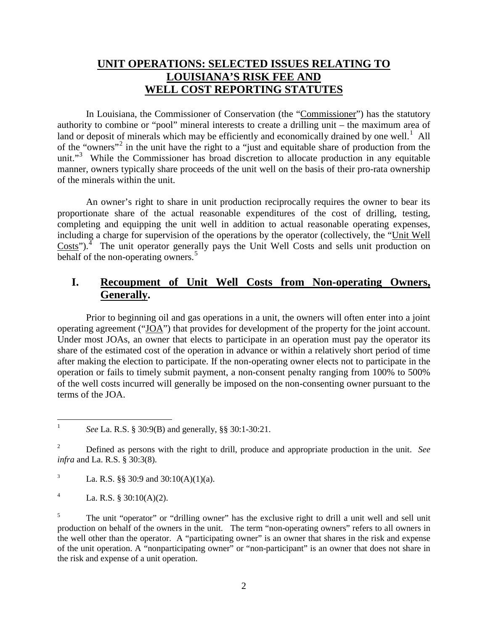## **UNIT OPERATIONS: SELECTED ISSUES RELATING TO LOUISIANA'S RISK FEE AND WELL COST REPORTING STATUTES**

In Louisiana, the Commissioner of Conservation (the "Commissioner") has the statutory authority to combine or "pool" mineral interests to create a drilling unit – the maximum area of land or deposit of minerals which may be efficiently and economically drained by one well.<sup>[1](#page-1-0)</sup> All of the "owners"[2](#page-1-1) in the unit have the right to a "just and equitable share of production from the unit."<sup>[3](#page-1-2)</sup> While the Commissioner has broad discretion to allocate production in any equitable manner, owners typically share proceeds of the unit well on the basis of their pro-rata ownership of the minerals within the unit.

An owner's right to share in unit production reciprocally requires the owner to bear its proportionate share of the actual reasonable expenditures of the cost of drilling, testing, completing and equipping the unit well in addition to actual reasonable operating expenses, including a charge for supervision of the operations by the operator (collectively, the "Unit Well  $\text{Costs''}$ ).<sup>[4](#page-1-3)</sup> The unit operator generally pays the Unit Well Costs and sells unit production on behalf of the non-operating owners.<sup>[5](#page-1-4)</sup>

# **I. Recoupment of Unit Well Costs from Non-operating Owners, Generally.**

Prior to beginning oil and gas operations in a unit, the owners will often enter into a joint operating agreement ("JOA") that provides for development of the property for the joint account. Under most JOAs, an owner that elects to participate in an operation must pay the operator its share of the estimated cost of the operation in advance or within a relatively short period of time after making the election to participate. If the non-operating owner elects not to participate in the operation or fails to timely submit payment, a non-consent penalty ranging from 100% to 500% of the well costs incurred will generally be imposed on the non-consenting owner pursuant to the terms of the JOA.

<span id="page-1-0"></span><sup>&</sup>lt;sup>1</sup> *See* La. R.S. § 30:9(B) and generally, §§ 30:1-30:21.

<span id="page-1-1"></span><sup>2</sup> Defined as persons with the right to drill, produce and appropriate production in the unit. *See infra* and La. R.S. § 30:3(8).

<span id="page-1-2"></span><sup>&</sup>lt;sup>3</sup> La. R.S. §§ 30:9 and 30:10(A)(1)(a).

<span id="page-1-3"></span><sup>&</sup>lt;sup>4</sup> La. R.S. § 30:10(A)(2).

<span id="page-1-4"></span><sup>&</sup>lt;sup>5</sup> The unit "operator" or "drilling owner" has the exclusive right to drill a unit well and sell unit production on behalf of the owners in the unit. The term "non-operating owners" refers to all owners in the well other than the operator. A "participating owner" is an owner that shares in the risk and expense of the unit operation. A "nonparticipating owner" or "non-participant" is an owner that does not share in the risk and expense of a unit operation.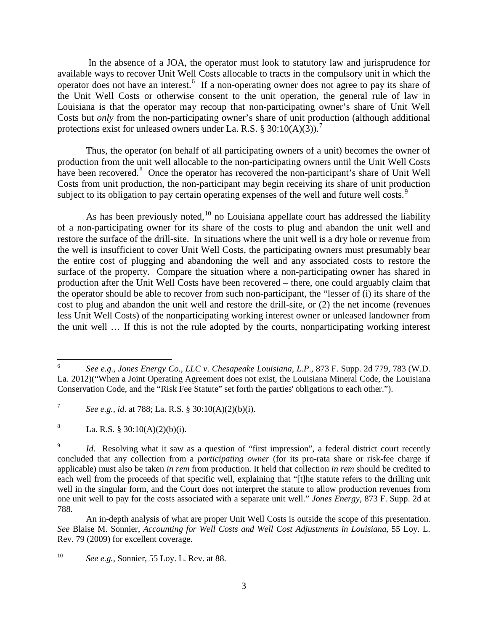In the absence of a JOA, the operator must look to statutory law and jurisprudence for available ways to recover Unit Well Costs allocable to tracts in the compulsory unit in which the operator does not have an interest.<sup>[6](#page-2-0)</sup> If a non-operating owner does not agree to pay its share of the Unit Well Costs or otherwise consent to the unit operation, the general rule of law in Louisiana is that the operator may recoup that non-participating owner's share of Unit Well Costs but *only* from the non-participating owner's share of unit production (although additional protections exist for unleased owners under La. R.S. § 30:10(A)(3)).<sup>[7](#page-2-1)</sup>

Thus, the operator (on behalf of all participating owners of a unit) becomes the owner of production from the unit well allocable to the non-participating owners until the Unit Well Costs have been recovered.<sup>[8](#page-2-2)</sup> Once the operator has recovered the non-participant's share of Unit Well Costs from unit production, the non-participant may begin receiving its share of unit production subject to its obligation to pay certain operating expenses of the well and future well costs.<sup>[9](#page-2-3)</sup>

As has been previously noted,  $10$  no Louisiana appellate court has addressed the liability of a non-participating owner for its share of the costs to plug and abandon the unit well and restore the surface of the drill-site. In situations where the unit well is a dry hole or revenue from the well is insufficient to cover Unit Well Costs, the participating owners must presumably bear the entire cost of plugging and abandoning the well and any associated costs to restore the surface of the property. Compare the situation where a non-participating owner has shared in production after the Unit Well Costs have been recovered – there, one could arguably claim that the operator should be able to recover from such non-participant, the "lesser of (i) its share of the cost to plug and abandon the unit well and restore the drill-site, or (2) the net income (revenues less Unit Well Costs) of the nonparticipating working interest owner or unleased landowner from the unit well … If this is not the rule adopted by the courts, nonparticipating working interest

<span id="page-2-2"></span><sup>8</sup> La. R.S. § 30:10(A)(2)(b)(i).

<span id="page-2-0"></span> <sup>6</sup> *See e.g., Jones Energy Co., LLC v. Chesapeake Louisiana, L.P*., 873 F. Supp. 2d 779, 783 (W.D. La. 2012)("When a Joint Operating Agreement does not exist, the Louisiana Mineral Code, the Louisiana Conservation Code, and the "Risk Fee Statute" set forth the parties' obligations to each other.").

<span id="page-2-1"></span><sup>7</sup> *See e.g., id*. at 788; La. R.S. § 30:10(A)(2)(b)(i).

<span id="page-2-3"></span>Id. Resolving what it saw as a question of "first impression", a federal district court recently concluded that any collection from a *participating owner* (for its pro-rata share or risk-fee charge if applicable) must also be taken *in rem* from production. It held that collection *in rem* should be credited to each well from the proceeds of that specific well, explaining that "[t]he statute refers to the drilling unit well in the singular form, and the Court does not interpret the statute to allow production revenues from one unit well to pay for the costs associated with a separate unit well." *Jones Energy*, 873 F. Supp. 2d at 788.

An in-depth analysis of what are proper Unit Well Costs is outside the scope of this presentation. *See* Blaise M. Sonnier, *Accounting for Well Costs and Well Cost Adjustments in Louisiana*, 55 Loy. L. Rev. 79 (2009) for excellent coverage.

<span id="page-2-4"></span><sup>10</sup> *See e.g.,* Sonnier, 55 Loy. L. Rev. at 88.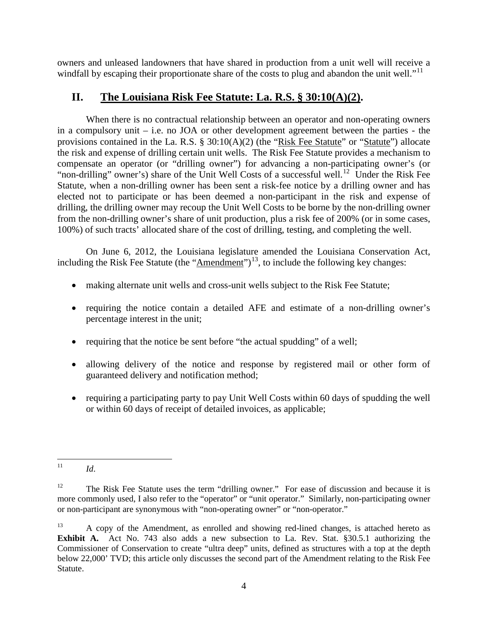owners and unleased landowners that have shared in production from a unit well will receive a windfall by escaping their proportionate share of the costs to plug and abandon the unit well."<sup>[11](#page-3-0)</sup>

### **II. The Louisiana Risk Fee Statute: La. R.S. § 30:10(A)(2).**

When there is no contractual relationship between an operator and non-operating owners in a compulsory unit – i.e. no JOA or other development agreement between the parties - the provisions contained in the La. R.S. § 30:10(A)(2) (the "Risk Fee Statute" or "Statute") allocate the risk and expense of drilling certain unit wells. The Risk Fee Statute provides a mechanism to compensate an operator (or "drilling owner") for advancing a non-participating owner's (or "non-drilling" owner's) share of the Unit Well Costs of a successful well.<sup>12</sup> Under the Risk Fee Statute, when a non-drilling owner has been sent a risk-fee notice by a drilling owner and has elected not to participate or has been deemed a non-participant in the risk and expense of drilling, the drilling owner may recoup the Unit Well Costs to be borne by the non-drilling owner from the non-drilling owner's share of unit production, plus a risk fee of 200% (or in some cases, 100%) of such tracts' allocated share of the cost of drilling, testing, and completing the well.

On June 6, 2012, the Louisiana legislature amended the Louisiana Conservation Act, including the Risk Fee Statute (the "Amendment")<sup>[13](#page-3-2)</sup>, to include the following key changes:

- making alternate unit wells and cross-unit wells subject to the Risk Fee Statute;
- requiring the notice contain a detailed AFE and estimate of a non-drilling owner's percentage interest in the unit;
- requiring that the notice be sent before "the actual spudding" of a well;
- allowing delivery of the notice and response by registered mail or other form of guaranteed delivery and notification method;
- requiring a participating party to pay Unit Well Costs within 60 days of spudding the well or within 60 days of receipt of detailed invoices, as applicable;

<span id="page-3-0"></span> $11$  *Id.* 

<span id="page-3-1"></span><sup>&</sup>lt;sup>12</sup> The Risk Fee Statute uses the term "drilling owner." For ease of discussion and because it is more commonly used, I also refer to the "operator" or "unit operator." Similarly, non-participating owner or non-participant are synonymous with "non-operating owner" or "non-operator."

<span id="page-3-2"></span><sup>&</sup>lt;sup>13</sup> A copy of the Amendment, as enrolled and showing red-lined changes, is attached hereto as **Exhibit A.** Act No. 743 also adds a new subsection to La. Rev. Stat. §30.5.1 authorizing the Commissioner of Conservation to create "ultra deep" units, defined as structures with a top at the depth below 22,000' TVD; this article only discusses the second part of the Amendment relating to the Risk Fee Statute.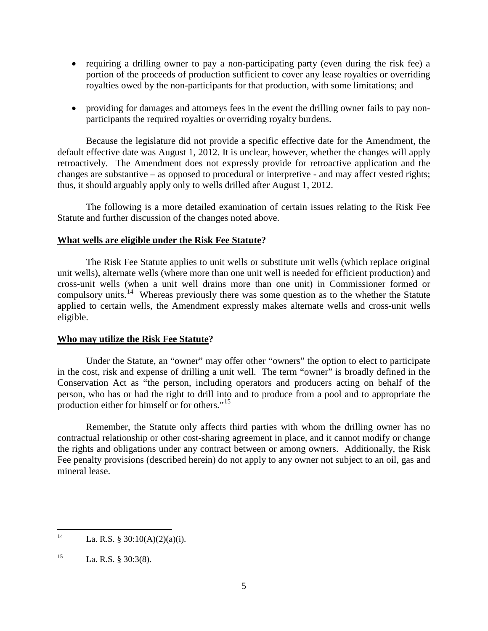- requiring a drilling owner to pay a non-participating party (even during the risk fee) a portion of the proceeds of production sufficient to cover any lease royalties or overriding royalties owed by the non-participants for that production, with some limitations; and
- providing for damages and attorneys fees in the event the drilling owner fails to pay nonparticipants the required royalties or overriding royalty burdens.

Because the legislature did not provide a specific effective date for the Amendment, the default effective date was August 1, 2012. It is unclear, however, whether the changes will apply retroactively. The Amendment does not expressly provide for retroactive application and the changes are substantive – as opposed to procedural or interpretive - and may affect vested rights; thus, it should arguably apply only to wells drilled after August 1, 2012.

The following is a more detailed examination of certain issues relating to the Risk Fee Statute and further discussion of the changes noted above.

#### **What wells are eligible under the Risk Fee Statute?**

The Risk Fee Statute applies to unit wells or substitute unit wells (which replace original unit wells), alternate wells (where more than one unit well is needed for efficient production) and cross-unit wells (when a unit well drains more than one unit) in Commissioner formed or compulsory units.<sup>14</sup> Whereas previously there was some question as to the whether the Statute applied to certain wells, the Amendment expressly makes alternate wells and cross-unit wells eligible.

#### **Who may utilize the Risk Fee Statute?**

Under the Statute, an "owner" may offer other "owners" the option to elect to participate in the cost, risk and expense of drilling a unit well. The term "owner" is broadly defined in the Conservation Act as "the person, including operators and producers acting on behalf of the person, who has or had the right to drill into and to produce from a pool and to appropriate the production either for himself or for others."<sup>[15](#page-4-1)</sup>

Remember, the Statute only affects third parties with whom the drilling owner has no contractual relationship or other cost-sharing agreement in place, and it cannot modify or change the rights and obligations under any contract between or among owners. Additionally, the Risk Fee penalty provisions (described herein) do not apply to any owner not subject to an oil, gas and mineral lease.

<span id="page-4-0"></span><sup>&</sup>lt;sup>14</sup> La. R.S. § 30:10(A)(2)(a)(i).

<span id="page-4-1"></span><sup>&</sup>lt;sup>15</sup> La. R.S. § 30:3(8).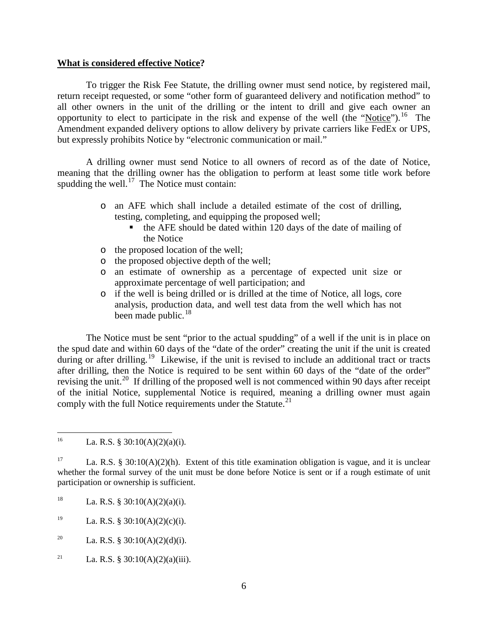#### **What is considered effective Notice?**

To trigger the Risk Fee Statute, the drilling owner must send notice, by registered mail, return receipt requested, or some "other form of guaranteed delivery and notification method" to all other owners in the unit of the drilling or the intent to drill and give each owner an opportunity to elect to participate in the risk and expense of the well (the "Notice").<sup>[16](#page-5-0)</sup> The Amendment expanded delivery options to allow delivery by private carriers like FedEx or UPS, but expressly prohibits Notice by "electronic communication or mail."

A drilling owner must send Notice to all owners of record as of the date of Notice, meaning that the drilling owner has the obligation to perform at least some title work before spudding the well.<sup>17</sup> The Notice must contain:

- o an AFE which shall include a detailed estimate of the cost of drilling, testing, completing, and equipping the proposed well;
	- $\bullet$  the AFE should be dated within 120 days of the date of mailing of the Notice
- o the proposed location of the well;
- o the proposed objective depth of the well;
- o an estimate of ownership as a percentage of expected unit size or approximate percentage of well participation; and
- o if the well is being drilled or is drilled at the time of Notice, all logs, core analysis, production data, and well test data from the well which has not been made public.<sup>[18](#page-5-2)</sup>

The Notice must be sent "prior to the actual spudding" of a well if the unit is in place on the spud date and within 60 days of the "date of the order" creating the unit if the unit is created during or after drilling.<sup>[19](#page-5-3)</sup> Likewise, if the unit is revised to include an additional tract or tracts after drilling, then the Notice is required to be sent within 60 days of the "date of the order" revising the unit.<sup>20</sup> If drilling of the proposed well is not commenced within 90 days after receipt of the initial Notice, supplemental Notice is required, meaning a drilling owner must again comply with the full Notice requirements under the Statute. $^{21}$  $^{21}$  $^{21}$ 

- <span id="page-5-2"></span><sup>18</sup> La. R.S. § 30:10(A)(2)(a)(i).
- <span id="page-5-3"></span><sup>19</sup> La. R.S. § 30:10(A)(2)(c)(i).
- <span id="page-5-4"></span><sup>20</sup> La. R.S. § 30:10(A)(2)(d)(i).
- <span id="page-5-5"></span><sup>21</sup> La. R.S. § 30:10(A)(2)(a)(iii).

<span id="page-5-0"></span><sup>&</sup>lt;sup>16</sup> La. R.S. § 30:10(A)(2)(a)(i).

<span id="page-5-1"></span><sup>&</sup>lt;sup>17</sup> La. R.S. § 30:10(A)(2)(h). Extent of this title examination obligation is vague, and it is unclear whether the formal survey of the unit must be done before Notice is sent or if a rough estimate of unit participation or ownership is sufficient.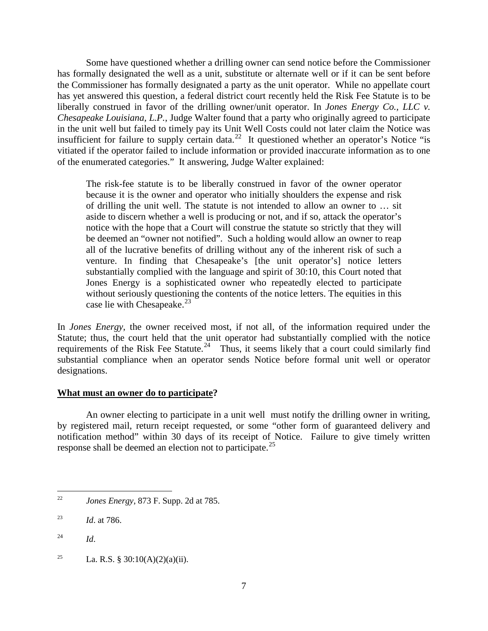Some have questioned whether a drilling owner can send notice before the Commissioner has formally designated the well as a unit, substitute or alternate well or if it can be sent before the Commissioner has formally designated a party as the unit operator. While no appellate court has yet answered this question, a federal district court recently held the Risk Fee Statute is to be liberally construed in favor of the drilling owner/unit operator. In *Jones Energy Co., LLC v. Chesapeake Louisiana, L.P.*, Judge Walter found that a party who originally agreed to participate in the unit well but failed to timely pay its Unit Well Costs could not later claim the Notice was insufficient for failure to supply certain data.<sup>[22](#page-6-0)</sup> It questioned whether an operator's Notice "is vitiated if the operator failed to include information or provided inaccurate information as to one of the enumerated categories." It answering, Judge Walter explained:

The risk-fee statute is to be liberally construed in favor of the owner operator because it is the owner and operator who initially shoulders the expense and risk of drilling the unit well. The statute is not intended to allow an owner to … sit aside to discern whether a well is producing or not, and if so, attack the operator's notice with the hope that a Court will construe the statute so strictly that they will be deemed an "owner not notified". Such a holding would allow an owner to reap all of the lucrative benefits of drilling without any of the inherent risk of such a venture. In finding that Chesapeake's [the unit operator's] notice letters substantially complied with the language and spirit of 30:10, this Court noted that Jones Energy is a sophisticated owner who repeatedly elected to participate without seriously questioning the contents of the notice letters. The equities in this case lie with Chesapeake.<sup>23</sup>

In *Jones Energy*, the owner received most, if not all, of the information required under the Statute; thus, the court held that the unit operator had substantially complied with the notice requirements of the Risk Fee Statute.<sup>[24](#page-6-2)</sup> Thus, it seems likely that a court could similarly find substantial compliance when an operator sends Notice before formal unit well or operator designations.

#### **What must an owner do to participate?**

An owner electing to participate in a unit well must notify the drilling owner in writing, by registered mail, return receipt requested, or some "other form of guaranteed delivery and notification method" within 30 days of its receipt of Notice. Failure to give timely written response shall be deemed an election not to participate.<sup>25</sup>

<span id="page-6-0"></span> <sup>22</sup> *Jones Energy*, 873 F. Supp. 2d at 785.

<span id="page-6-1"></span><sup>23</sup> *Id*. at 786.

<span id="page-6-2"></span><sup>24</sup> *Id*.

<span id="page-6-3"></span><sup>&</sup>lt;sup>25</sup> La. R.S. § 30:10(A)(2)(a)(ii).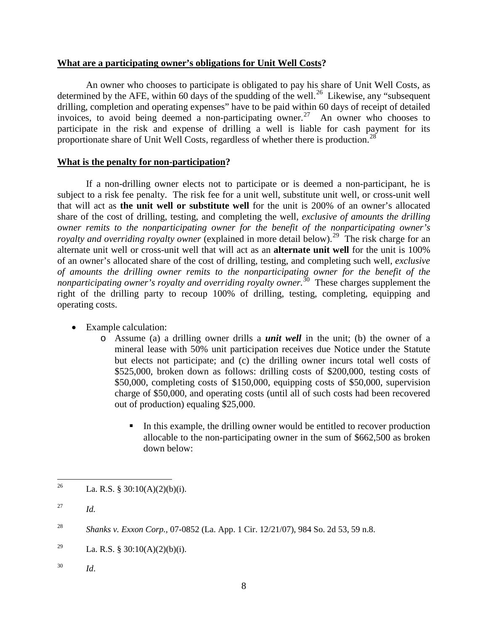#### **What are a participating owner's obligations for Unit Well Costs?**

An owner who chooses to participate is obligated to pay his share of Unit Well Costs, as determined by the AFE, within 60 days of the spudding of the well.<sup>[26](#page-7-0)</sup> Likewise, any "subsequent" drilling, completion and operating expenses" have to be paid within 60 days of receipt of detailed invoices, to avoid being deemed a non-participating owner.<sup>[27](#page-7-1)</sup> An owner who chooses to participate in the risk and expense of drilling a well is liable for cash payment for its proportionate share of Unit Well Costs, regardless of whether there is production.<sup>[28](#page-7-2)</sup>

#### **What is the penalty for non-participation?**

If a non-drilling owner elects not to participate or is deemed a non-participant, he is subject to a risk fee penalty. The risk fee for a unit well, substitute unit well, or cross-unit well that will act as **the unit well or substitute well** for the unit is 200% of an owner's allocated share of the cost of drilling, testing, and completing the well, *exclusive of amounts the drilling owner remits to the nonparticipating owner for the benefit of the nonparticipating owner's royalty and overriding royalty owner* (explained in more detail below).<sup>29</sup> The risk charge for an alternate unit well or cross-unit well that will act as an **alternate unit well** for the unit is 100% of an owner's allocated share of the cost of drilling, testing, and completing such well, *exclusive of amounts the drilling owner remits to the nonparticipating owner for the benefit of the nonparticipating owner's royalty and overriding royalty owner.*<sup>[30](#page-7-4)</sup> These charges supplement the right of the drilling party to recoup 100% of drilling, testing, completing, equipping and operating costs.

- Example calculation:
	- o Assume (a) a drilling owner drills a *unit well* in the unit; (b) the owner of a mineral lease with 50% unit participation receives due Notice under the Statute but elects not participate; and (c) the drilling owner incurs total well costs of \$525,000, broken down as follows: drilling costs of \$200,000, testing costs of \$50,000, completing costs of \$150,000, equipping costs of \$50,000, supervision charge of \$50,000, and operating costs (until all of such costs had been recovered out of production) equaling \$25,000.
		- In this example, the drilling owner would be entitled to recover production allocable to the non-participating owner in the sum of \$662,500 as broken down below:

<span id="page-7-4"></span><sup>30</sup> *Id*.

<span id="page-7-0"></span><sup>&</sup>lt;sup>26</sup> La. R.S. § 30:10(A)(2)(b)(i).

<span id="page-7-1"></span><sup>27</sup> *Id.*

<span id="page-7-2"></span><sup>28</sup> *Shanks v. Exxon Corp.,* 07-0852 (La. App. 1 Cir. 12/21/07), 984 So. 2d 53, 59 n.8.

<span id="page-7-3"></span><sup>&</sup>lt;sup>29</sup> La. R.S. § 30:10(A)(2)(b)(i).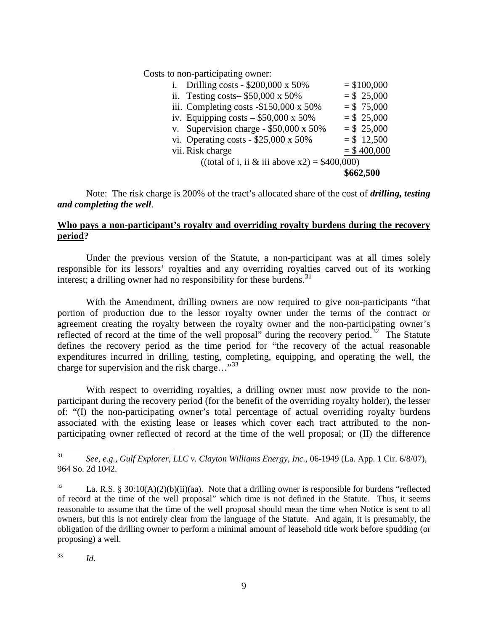Costs to non-participating owner:

|                                                  |                                               | \$662,500 |               |
|--------------------------------------------------|-----------------------------------------------|-----------|---------------|
| ((total of i, ii & iii above $x2$ ) = \$400,000) |                                               |           |               |
|                                                  | vii. Risk charge                              |           | $=$ \$400,000 |
|                                                  | vi. Operating costs - $$25,000 \times 50\%$   |           | $= $12,500$   |
|                                                  | v. Supervision charge - $$50,000 \times 50\%$ |           | $= $25,000$   |
|                                                  | iv. Equipping costs $-$ \$50,000 x 50%        |           | $= $25,000$   |
|                                                  | iii. Completing costs $-$ \$150,000 x 50%     |           | $= $ 75,000$  |
|                                                  | ii. Testing costs $$50,000 \times 50\%$       |           | $= $ 25,000$  |
| i.                                               | Drilling costs - $$200,000 \times 50\%$       |           | $= $100,000$  |

Note: The risk charge is 200% of the tract's allocated share of the cost of *drilling, testing and completing the well.*

#### **Who pays a non-participant's royalty and overriding royalty burdens during the recovery period?**

Under the previous version of the Statute, a non-participant was at all times solely responsible for its lessors' royalties and any overriding royalties carved out of its working interest; a drilling owner had no responsibility for these burdens.<sup>[31](#page-8-0)</sup>

With the Amendment, drilling owners are now required to give non-participants "that portion of production due to the lessor royalty owner under the terms of the contract or agreement creating the royalty between the royalty owner and the non-participating owner's reflected of record at the time of the well proposal" during the recovery period.<sup>32</sup> The Statute defines the recovery period as the time period for "the recovery of the actual reasonable expenditures incurred in drilling, testing, completing, equipping, and operating the well, the charge for supervision and the risk charge..."<sup>[33](#page-8-2)</sup>

With respect to overriding royalties, a drilling owner must now provide to the nonparticipant during the recovery period (for the benefit of the overriding royalty holder), the lesser of: "(I) the non-participating owner's total percentage of actual overriding royalty burdens associated with the existing lease or leases which cover each tract attributed to the nonparticipating owner reflected of record at the time of the well proposal; or (II) the difference

<span id="page-8-2"></span><sup>33</sup> *Id*.

<span id="page-8-0"></span> <sup>31</sup> *See, e.g., Gulf Explorer, LLC v. Clayton Williams Energy, Inc.*, 06-1949 (La. App. 1 Cir. 6/8/07), 964 So. 2d 1042.

<span id="page-8-1"></span><sup>&</sup>lt;sup>32</sup> La. R.S. § 30:10(A)(2)(b)(ii)(aa). Note that a drilling owner is responsible for burdens "reflected of record at the time of the well proposal" which time is not defined in the Statute. Thus, it seems reasonable to assume that the time of the well proposal should mean the time when Notice is sent to all owners, but this is not entirely clear from the language of the Statute. And again, it is presumably, the obligation of the drilling owner to perform a minimal amount of leasehold title work before spudding (or proposing) a well.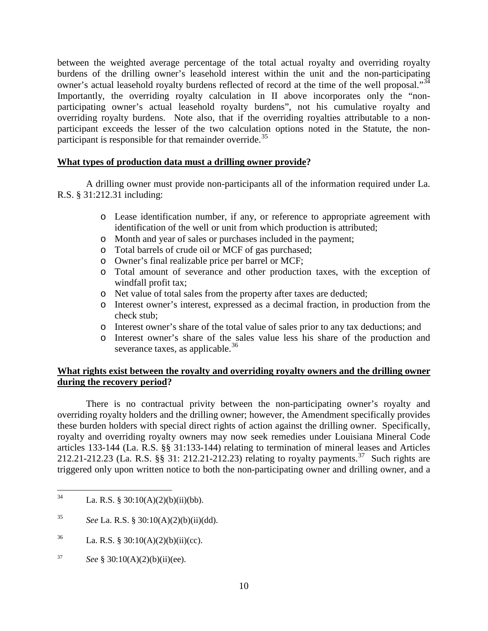between the weighted average percentage of the total actual royalty and overriding royalty burdens of the drilling owner's leasehold interest within the unit and the non-participating owner's actual leasehold royalty burdens reflected of record at the time of the well proposal."<sup>[34](#page-9-0)</sup> Importantly, the overriding royalty calculation in II above incorporates only the "nonparticipating owner's actual leasehold royalty burdens", not his cumulative royalty and overriding royalty burdens. Note also, that if the overriding royalties attributable to a nonparticipant exceeds the lesser of the two calculation options noted in the Statute, the non-participant is responsible for that remainder override.<sup>[35](#page-9-1)</sup>

#### **What types of production data must a drilling owner provide?**

A drilling owner must provide non-participants all of the information required under La. R.S. § 31:212.31 including:

- o Lease identification number, if any, or reference to appropriate agreement with identification of the well or unit from which production is attributed;
- o Month and year of sales or purchases included in the payment;
- o Total barrels of crude oil or MCF of gas purchased;
- o Owner's final realizable price per barrel or MCF;
- o Total amount of severance and other production taxes, with the exception of windfall profit tax;
- o Net value of total sales from the property after taxes are deducted;
- o Interest owner's interest, expressed as a decimal fraction, in production from the check stub;
- o Interest owner's share of the total value of sales prior to any tax deductions; and
- o Interest owner's share of the sales value less his share of the production and severance taxes, as applicable. $36$

#### **What rights exist between the royalty and overriding royalty owners and the drilling owner during the recovery period?**

There is no contractual privity between the non-participating owner's royalty and overriding royalty holders and the drilling owner; however, the Amendment specifically provides these burden holders with special direct rights of action against the drilling owner. Specifically, royalty and overriding royalty owners may now seek remedies under Louisiana Mineral Code articles 133-144 (La. R.S. §§ 31:133-144) relating to termination of mineral leases and Articles 212.21-212.23 (La. R.S. §§ 31: 212.21-212.23) relating to royalty payments.<sup>[37](#page-9-3)</sup> Such rights are triggered only upon written notice to both the non-participating owner and drilling owner, and a

- <span id="page-9-2"></span><sup>36</sup> La. R.S. § 30:10(A)(2)(b)(ii)(cc).
- <span id="page-9-3"></span><sup>37</sup> *See* § 30:10(A)(2)(b)(ii)(ee).

<span id="page-9-0"></span><sup>&</sup>lt;sup>34</sup> La. R.S. § 30:10(A)(2)(b)(ii)(bb).

<span id="page-9-1"></span><sup>35</sup> *See* La. R.S. § 30:10(A)(2)(b)(ii)(dd).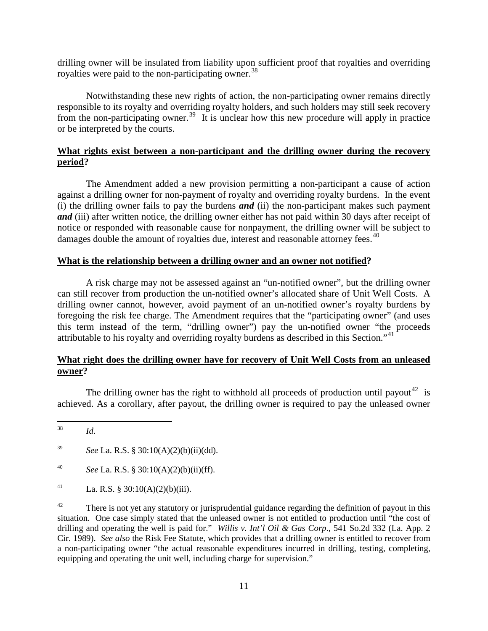drilling owner will be insulated from liability upon sufficient proof that royalties and overriding royalties were paid to the non-participating owner.<sup>38</sup>

Notwithstanding these new rights of action, the non-participating owner remains directly responsible to its royalty and overriding royalty holders, and such holders may still seek recovery from the non-participating owner.<sup>39</sup> It is unclear how this new procedure will apply in practice or be interpreted by the courts.

#### **What rights exist between a non-participant and the drilling owner during the recovery period?**

The Amendment added a new provision permitting a non-participant a cause of action against a drilling owner for non-payment of royalty and overriding royalty burdens. In the event (i) the drilling owner fails to pay the burdens *and* (ii) the non-participant makes such payment *and* (iii) after written notice, the drilling owner either has not paid within 30 days after receipt of notice or responded with reasonable cause for nonpayment, the drilling owner will be subject to damages double the amount of royalties due, interest and reasonable attorney fees.<sup>[40](#page-10-2)</sup>

#### **What is the relationship between a drilling owner and an owner not notified?**

A risk charge may not be assessed against an "un-notified owner", but the drilling owner can still recover from production the un-notified owner's allocated share of Unit Well Costs. A drilling owner cannot, however, avoid payment of an un-notified owner's royalty burdens by foregoing the risk fee charge. The Amendment requires that the "participating owner" (and uses this term instead of the term, "drilling owner") pay the un-notified owner "the proceeds attributable to his royalty and overriding royalty burdens as described in this Section."[41](#page-10-3)

#### **What right does the drilling owner have for recovery of Unit Well Costs from an unleased owner?**

The drilling owner has the right to withhold all proceeds of production until payout<sup>[42](#page-10-4)</sup> is achieved. As a corollary, after payout, the drilling owner is required to pay the unleased owner

<span id="page-10-4"></span> $42$  There is not yet any statutory or jurisprudential guidance regarding the definition of payout in this situation. One case simply stated that the unleased owner is not entitled to production until "the cost of drilling and operating the well is paid for." *Willis v. Int'l Oil & Gas Corp*., 541 So.2d 332 (La. App. 2 Cir. 1989). *See also* the Risk Fee Statute, which provides that a drilling owner is entitled to recover from a non-participating owner "the actual reasonable expenditures incurred in drilling, testing, completing, equipping and operating the unit well, including charge for supervision."

<span id="page-10-0"></span> <sup>38</sup> *Id*.

<span id="page-10-1"></span><sup>39</sup> *See* La. R.S. § 30:10(A)(2)(b)(ii)(dd).

<span id="page-10-2"></span><sup>40</sup> *See* La. R.S. § 30:10(A)(2)(b)(ii)(ff).

<span id="page-10-3"></span><sup>41</sup> La. R.S. § 30:10(A)(2)(b)(iii).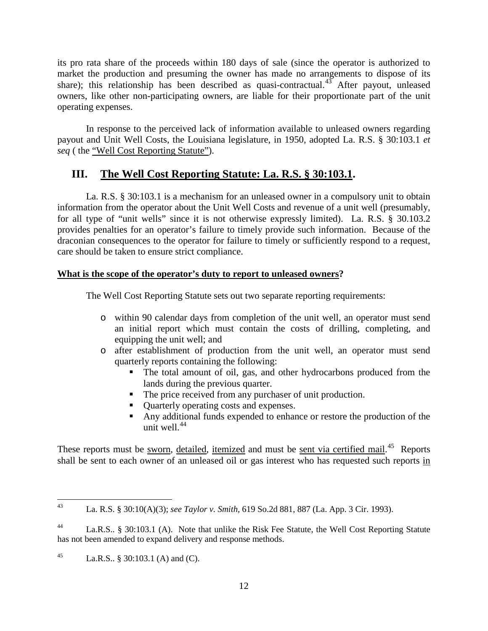its pro rata share of the proceeds within 180 days of sale (since the operator is authorized to market the production and presuming the owner has made no arrangements to dispose of its share); this relationship has been described as quasi-contractual.<sup>[43](#page-11-0)</sup> After payout, unleased owners, like other non-participating owners, are liable for their proportionate part of the unit operating expenses.

In response to the perceived lack of information available to unleased owners regarding payout and Unit Well Costs, the Louisiana legislature, in 1950, adopted La. R.S. § 30:103.1 *et seq* ( the "Well Cost Reporting Statute").

## **III. The Well Cost Reporting Statute: La. R.S. § 30:103.1.**

 La. R.S. § 30:103.1 is a mechanism for an unleased owner in a compulsory unit to obtain information from the operator about the Unit Well Costs and revenue of a unit well (presumably, for all type of "unit wells" since it is not otherwise expressly limited). La. R.S. § 30.103.2 provides penalties for an operator's failure to timely provide such information. Because of the draconian consequences to the operator for failure to timely or sufficiently respond to a request, care should be taken to ensure strict compliance.

#### **What is the scope of the operator's duty to report to unleased owners?**

The Well Cost Reporting Statute sets out two separate reporting requirements:

- o within 90 calendar days from completion of the unit well, an operator must send an initial report which must contain the costs of drilling, completing, and equipping the unit well; and
- o after establishment of production from the unit well, an operator must send quarterly reports containing the following:
	- The total amount of oil, gas, and other hydrocarbons produced from the lands during the previous quarter.
	- The price received from any purchaser of unit production.
	- **Quarterly operating costs and expenses.**
	- Any additional funds expended to enhance or restore the production of the unit well. $44$

These reports must be <u>sworn</u>, detailed, itemized and must be <u>sent via certified mail.</u><sup>[45](#page-11-2)</sup> Reports shall be sent to each owner of an unleased oil or gas interest who has requested such reports in

<span id="page-11-0"></span> <sup>43</sup> La. R.S. § 30:10(A)(3); *see Taylor v. Smith*, 619 So.2d 881, 887 (La. App. 3 Cir. 1993).

<span id="page-11-1"></span><sup>44</sup> La.R.S.. § 30:103.1 (A). Note that unlike the Risk Fee Statute, the Well Cost Reporting Statute has not been amended to expand delivery and response methods.

<span id="page-11-2"></span><sup>45</sup> La.R.S.. § 30:103.1 (A) and (C).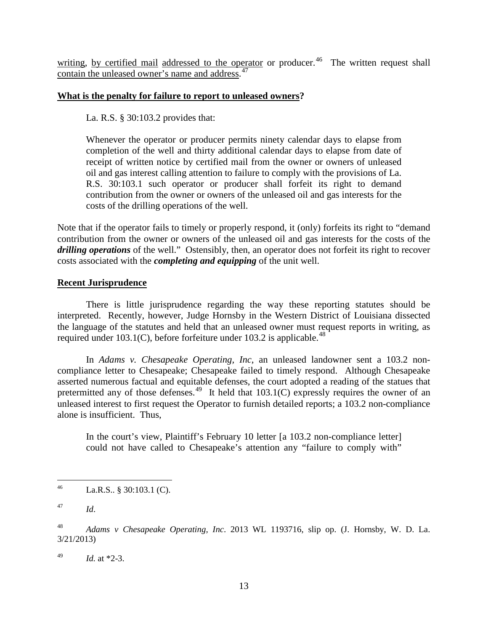writing, by certified mail addressed to the operator or producer.<sup>46</sup> The written request shall contain the unleased owner's name and address.<sup>[47](#page-12-1)</sup>

#### **What is the penalty for failure to report to unleased owners?**

La. R.S. § 30:103.2 provides that:

Whenever the operator or producer permits ninety calendar days to elapse from completion of the well and thirty additional calendar days to elapse from date of receipt of written notice by certified mail from the owner or owners of unleased oil and gas interest calling attention to failure to comply with the provisions of La. R.S. 30:103.1 such operator or producer shall forfeit its right to demand contribution from the owner or owners of the unleased oil and gas interests for the costs of the drilling operations of the well.

Note that if the operator fails to timely or properly respond, it (only) forfeits its right to "demand contribution from the owner or owners of the unleased oil and gas interests for the costs of the *drilling operations* of the well." Ostensibly, then, an operator does not forfeit its right to recover costs associated with the *completing and equipping* of the unit well.

#### **Recent Jurisprudence**

There is little jurisprudence regarding the way these reporting statutes should be interpreted. Recently, however, Judge Hornsby in the Western District of Louisiana dissected the language of the statutes and held that an unleased owner must request reports in writing, as required under 103.1(C), before forfeiture under 103.2 is applicable.<sup>48</sup>

In *Adams v. Chesapeake Operating, Inc*, an unleased landowner sent a 103.2 noncompliance letter to Chesapeake; Chesapeake failed to timely respond. Although Chesapeake asserted numerous factual and equitable defenses, the court adopted a reading of the statues that pretermitted any of those defenses.<sup>49</sup> It held that  $103.1(C)$  expressly requires the owner of an unleased interest to first request the Operator to furnish detailed reports; a 103.2 non-compliance alone is insufficient. Thus,

In the court's view, Plaintiff's February 10 letter [a 103.2 non-compliance letter] could not have called to Chesapeake's attention any "failure to comply with"

<span id="page-12-0"></span><sup>46</sup> La.R.S.. § 30:103.1 (C).

<span id="page-12-1"></span><sup>47</sup> *Id*.

<span id="page-12-2"></span><sup>48</sup> *Adams v Chesapeake Operating, Inc*. 2013 WL 1193716, slip op. (J. Hornsby, W. D. La. 3/21/2013)

<span id="page-12-3"></span><sup>49</sup> *Id.* at \*2-3.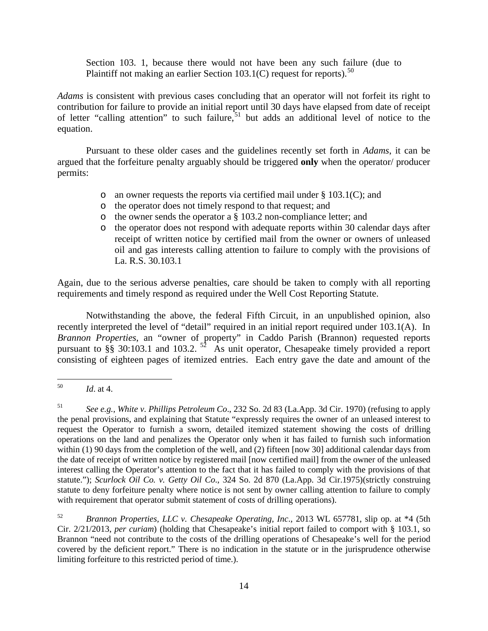Section 103. 1, because there would not have been any such failure (due to Plaintiff not making an earlier Section 103.1(C) request for reports).<sup>[50](#page-13-0)</sup>

*Adams* is consistent with previous cases concluding that an operator will not forfeit its right to contribution for failure to provide an initial report until 30 days have elapsed from date of receipt of letter "calling attention" to such failure,<sup>[51](#page-13-1)</sup> but adds an additional level of notice to the equation.

Pursuant to these older cases and the guidelines recently set forth in *Adams*, it can be argued that the forfeiture penalty arguably should be triggered **only** when the operator/ producer permits:

- o an owner requests the reports via certified mail under § 103.1(C); and
- o the operator does not timely respond to that request; and
- o the owner sends the operator a § 103.2 non-compliance letter; and
- o the operator does not respond with adequate reports within 30 calendar days after receipt of written notice by certified mail from the owner or owners of unleased oil and gas interests calling attention to failure to comply with the provisions of La. R.S. 30.103.1

Again, due to the serious adverse penalties, care should be taken to comply with all reporting requirements and timely respond as required under the Well Cost Reporting Statute.

Notwithstanding the above, the federal Fifth Circuit, in an unpublished opinion, also recently interpreted the level of "detail" required in an initial report required under 103.1(A). In *Brannon Properties*, an "owner of property" in Caddo Parish (Brannon) requested reports pursuant to §§ 30:103.1 and 103.2.  $5^2$  As unit operator, Chesapeake timely provided a report consisting of eighteen pages of itemized entries. Each entry gave the date and amount of the

<span id="page-13-2"></span><sup>52</sup> *Brannon Properties, LLC v. Chesapeake Operating, Inc*., 2013 WL 657781, slip op. at \*4 (5th Cir. 2/21/2013, *per curiam*) (holding that Chesapeake's initial report failed to comport with § 103.1, so Brannon "need not contribute to the costs of the drilling operations of Chesapeake's well for the period covered by the deficient report." There is no indication in the statute or in the jurisprudence otherwise limiting forfeiture to this restricted period of time.).

<span id="page-13-0"></span> <sup>50</sup> *Id*. at 4.

<span id="page-13-1"></span><sup>51</sup> *See e.g., White v. Phillips Petroleum Co*., 232 So. 2d 83 (La.App. 3d Cir. 1970) (refusing to apply the penal provisions, and explaining that Statute "expressly requires the owner of an unleased interest to request the Operator to furnish a sworn, detailed itemized statement showing the costs of drilling operations on the land and penalizes the Operator only when it has failed to furnish such information within (1) 90 days from the completion of the well, and (2) fifteen [now 30] additional calendar days from the date of receipt of written notice by registered mail [now certified mail] from the owner of the unleased interest calling the Operator's attention to the fact that it has failed to comply with the provisions of that statute."); *Scurlock Oil Co. v. Getty Oil Co*., 324 So. 2d 870 (La.App. 3d Cir.1975)(strictly construing statute to deny forfeiture penalty where notice is not sent by owner calling attention to failure to comply with requirement that operator submit statement of costs of drilling operations).